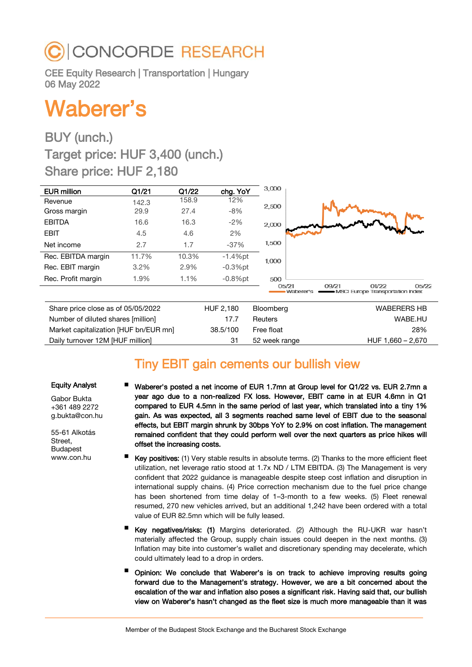# CONCORDE RESEARCH

CEE Equity Research | Transportation | Hungary 06 May 2022

# Waberer's

## BUY (unch.) Target price: HUF 3,400 (unch.) Share price: HUF 2,180

| <b>EUR million</b>                 | Q1/21 | Q1/22 | chg. YoY   | 3,000     |                                                                          |
|------------------------------------|-------|-------|------------|-----------|--------------------------------------------------------------------------|
| Revenue                            | 142.3 | 158.9 | 12%        |           |                                                                          |
| Gross margin                       | 29.9  | 27.4  | $-8%$      | 2,500     |                                                                          |
| <b>EBITDA</b>                      | 16.6  | 16.3  | $-2\%$     | 2,000     |                                                                          |
| <b>EBIT</b>                        | 4.5   | 4.6   | 2%         |           |                                                                          |
| Net income                         | 2.7   | 1.7   | $-37%$     | 1,500     |                                                                          |
| Rec. EBITDA margin                 | 11.7% | 10.3% | $-1.4%$ pt | 1,000     |                                                                          |
| Rec. EBIT margin                   | 3.2%  | 2.9%  | $-0.3%$ pt |           |                                                                          |
| Rec. Profit margin                 | 1.9%  | 1.1%  | $-0.8%$ pt | 500       |                                                                          |
|                                    |       |       |            | 05/21     | 01/22<br>05/22<br>09/21<br>Waberer's<br>MSCI Europe Transportation Index |
| Share price close as of 05/05/2022 |       |       | HUF 2,180  | Bloomberg | <b>WABERERS HB</b>                                                       |

| Share price close as of 05/05/2022    | HUF 2.180 | Bloombera      | <b>WABERERS HB</b> |
|---------------------------------------|-----------|----------------|--------------------|
| Number of diluted shares [million]    | 17.7      | <b>Reuters</b> | WABE.HU            |
| Market capitalization [HUF bn/EUR mn] | 38.5/100  | Free float     | 28%                |
| Daily turnover 12M [HUF million]      |           | 52 week range  | HUF 1,660 - 2,670  |

### Tiny EBIT gain cements our bullish view

#### Equity Analyst

Gabor Bukta +361 489 2272 g.bukta@con.hu

55-61 Alkotás Street, Budapest www.con.hu

- Waberer's posted a net income of EUR 1.7mn at Group level for Q1/22 vs. EUR 2.7mn a year ago due to a non-realized FX loss. However, EBIT came in at EUR 4.6mn in Q1 compared to EUR 4.5mn in the same period of last year, which translated into a tiny 1% gain. As was expected, all 3 segments reached same level of EBIT due to the seasonal effects, but EBIT margin shrunk by 30bps YoY to 2.9% on cost inflation. The management remained confident that they could perform well over the next quarters as price hikes will offset the increasing costs.
- Key positives: (1) Very stable results in absolute terms. (2) Thanks to the more efficient fleet utilization, net leverage ratio stood at 1.7x ND / LTM EBITDA. (3) The Management is very confident that 2022 guidance is manageable despite steep cost inflation and disruption in international supply chains. (4) Price correction mechanism due to the fuel price change has been shortened from time delay of 1–3-month to a few weeks. (5) Fleet renewal resumed, 270 new vehicles arrived, but an additional 1,242 have been ordered with a total value of EUR 82.5mn which will be fully leased.
- Key negatives/risks: (1) Margins deteriorated. (2) Although the RU-UKR war hasn't materially affected the Group, supply chain issues could deepen in the next months. (3) Inflation may bite into customer's wallet and discretionary spending may decelerate, which could ultimately lead to a drop in orders.
- Opinion: We conclude that Waberer's is on track to achieve improving results going forward due to the Management's strategy. However, we are a bit concerned about the escalation of the war and inflation also poses a significant risk. Having said that, our bullish view on Waberer's hasn't changed as the fleet size is much more manageable than it was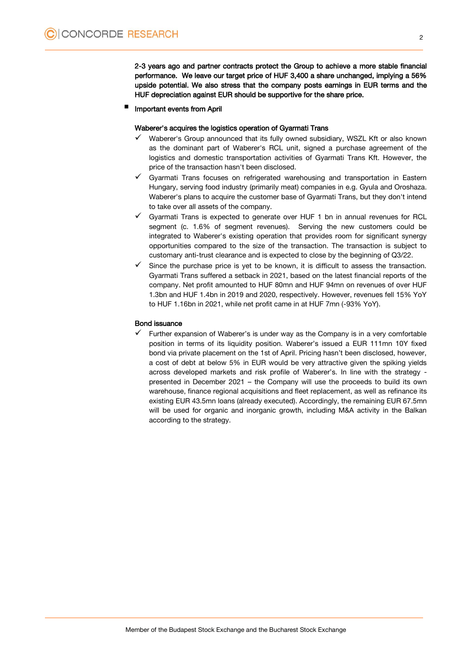2-3 years ago and partner contracts protect the Group to achieve a more stable financial performance. We leave our target price of HUF 3,400 a share unchanged, implying a 56% upside potential. We also stress that the company posts earnings in EUR terms and the HUF depreciation against EUR should be supportive for the share price.

Important events from April

#### Waberer's acquires the logistics operation of Gyarmati Trans

- Waberer's Group announced that its fully owned subsidiary, WSZL Kft or also known as the dominant part of Waberer's RCL unit, signed a purchase agreement of the logistics and domestic transportation activities of Gyarmati Trans Kft. However, the price of the transaction hasn't been disclosed.
- Gyarmati Trans focuses on refrigerated warehousing and transportation in Eastern Hungary, serving food industry (primarily meat) companies in e.g. Gyula and Oroshaza. Waberer's plans to acquire the customer base of Gyarmati Trans, but they don't intend to take over all assets of the company.
- $\checkmark$  Gyarmati Trans is expected to generate over HUF 1 bn in annual revenues for RCL segment (c. 1.6% of segment revenues). Serving the new customers could be integrated to Waberer's existing operation that provides room for significant synergy opportunities compared to the size of the transaction. The transaction is subject to customary anti-trust clearance and is expected to close by the beginning of Q3/22.
- Since the purchase price is yet to be known, it is difficult to assess the transaction. Gyarmati Trans suffered a setback in 2021, based on the latest financial reports of the company. Net profit amounted to HUF 80mn and HUF 94mn on revenues of over HUF 1.3bn and HUF 1.4bn in 2019 and 2020, respectively. However, revenues fell 15% YoY to HUF 1.16bn in 2021, while net profit came in at HUF 7mn (-93% YoY).

#### Bond issuance

 Further expansion of Waberer's is under way as the Company is in a very comfortable position in terms of its liquidity position. Waberer's issued a EUR 111mn 10Y fixed bond via private placement on the 1st of April. Pricing hasn't been disclosed, however, a cost of debt at below 5% in EUR would be very attractive given the spiking yields across developed markets and risk profile of Waberer's. In line with the strategy presented in December 2021 – the Company will use the proceeds to build its own warehouse, finance regional acquisitions and fleet replacement, as well as refinance its existing EUR 43.5mn loans (already executed). Accordingly, the remaining EUR 67.5mn will be used for organic and inorganic growth, including M&A activity in the Balkan according to the strategy.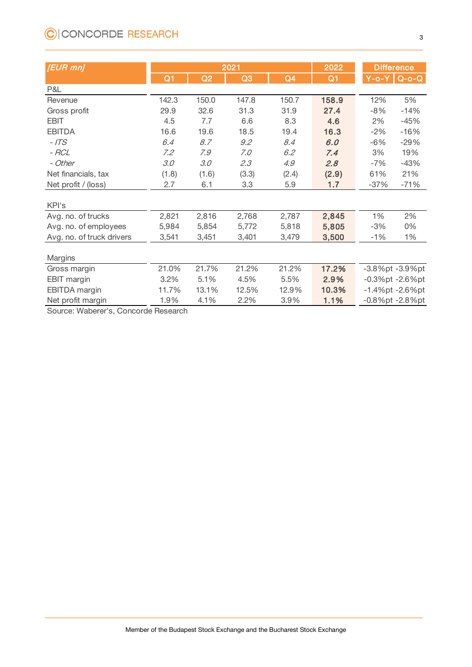| <u>UICONCONDE NESEANON</u><br>3 |                |       |                |                |                |                   |                         |
|---------------------------------|----------------|-------|----------------|----------------|----------------|-------------------|-------------------------|
|                                 |                |       |                |                |                |                   |                         |
| [EUR mn]                        |                |       | 2021           | 2022           |                | <b>Difference</b> |                         |
|                                 | Q <sub>1</sub> | Q2    | Q <sub>3</sub> | Q <sub>4</sub> | Q <sub>1</sub> |                   | $Y-o-Y$ Q-o-Q           |
| P&L                             |                |       |                |                |                |                   |                         |
| Revenue                         | 142.3          | 150.0 | 147.8          | 150.7          | 158.9          | 12%               | 5%                      |
| Gross profit                    | 29.9           | 32.6  | 31.3           | 31.9           | 27.4           | $-8%$             | $-14%$                  |
| <b>EBIT</b>                     | 4.5            | 7.7   | 6.6            | 8.3            | 4.6            | 2%                | $-45%$                  |
| <b>EBITDA</b>                   | 16.6           | 19.6  | 18.5           | 19.4           | 16.3           | $-2%$             | $-16%$                  |
| $-$ /TS                         | 6.4            | 8.7   | 9.2            | 8.4            | 6.0            | $-6%$             | $-29%$                  |
| - RCL                           | 7.2            | 7.9   | 7.0            | 6.2            | 7.4            | 3%                | 19%                     |
| - Other                         | 3.0            | 3.0   | 2.3            | 4.9            | 2.8            | $-7%$             | $-43%$                  |
| Net financials, tax             | (1.8)          | (1.6) | (3.3)          | (2.4)          | (2.9)          | 61%               | 21%                     |
| Net profit / (loss)             | 2.7            | 6.1   | 3.3            | 5.9            | 1.7            | $-37%$            | $-71%$                  |
| KPI's                           |                |       |                |                |                |                   |                         |
| Avg. no. of trucks              | 2,821          | 2,816 | 2,768          | 2,787          | 2,845          | 1%                | 2%                      |
| Avg. no. of employees           | 5,984          | 5,854 | 5,772          | 5,818          | 5,805          | $-3%$             | 0%                      |
| Avg. no. of truck drivers       | 3,541          | 3,451 | 3,401          | 3,479          | 3,500          | $-1%$             | 1%                      |
|                                 |                |       |                |                |                |                   |                         |
| Margins                         |                |       |                |                |                |                   |                         |
| Gross margin                    | 21.0%          | 21.7% | 21.2%          | 21.2%          | 17.2%          |                   | -3.8%pt -3.9%pt         |
| <b>EBIT</b> margin              | 3.2%           | 5.1%  | 4.5%           | 5.5%           | 2.9%           |                   | $-0.3%$ pt $-2.6%$ pt   |
| EBITDA margin                   | 11.7%          | 13.1% | 12.5%          | 12.9%          | 10.3%          |                   | $-1.4\%$ pt $-2.6\%$ pt |
| Net profit margin               | 1.9%           | 4.1%  | 2.2%           | 3.9%           | 1.1%           |                   | $-0.8\%$ pt $-2.8\%$ pt |

Source: Waberer's, Concorde Research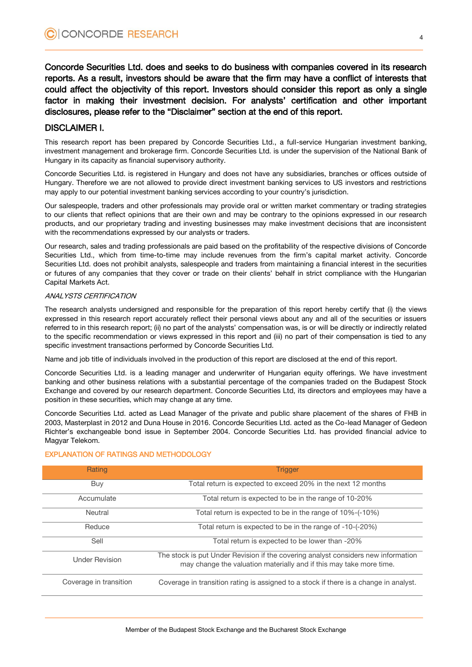Concorde Securities Ltd. does and seeks to do business with companies covered in its research reports. As a result, investors should be aware that the firm may have a conflict of interests that could affect the objectivity of this report. Investors should consider this report as only a single factor in making their investment decision. For analysts' certification and other important disclosures, please refer to the "Disclaimer" section at the end of this report.

### DISCLAIMER I.

This research report has been prepared by Concorde Securities Ltd., a full-service Hungarian investment banking, investment management and brokerage firm. Concorde Securities Ltd. is under the supervision of the National Bank of Hungary in its capacity as financial supervisory authority.

Concorde Securities Ltd. is registered in Hungary and does not have any subsidiaries, branches or offices outside of Hungary. Therefore we are not allowed to provide direct investment banking services to US investors and restrictions may apply to our potential investment banking services according to your country's jurisdiction.

Our salespeople, traders and other professionals may provide oral or written market commentary or trading strategies to our clients that reflect opinions that are their own and may be contrary to the opinions expressed in our research products, and our proprietary trading and investing businesses may make investment decisions that are inconsistent with the recommendations expressed by our analysts or traders.

Our research, sales and trading professionals are paid based on the profitability of the respective divisions of Concorde Securities Ltd., which from time-to-time may include revenues from the firm's capital market activity. Concorde Securities Ltd. does not prohibit analysts, salespeople and traders from maintaining a financial interest in the securities or futures of any companies that they cover or trade on their clients' behalf in strict compliance with the Hungarian Capital Markets Act.

#### ANALYSTS CERTIFICATION

The research analysts undersigned and responsible for the preparation of this report hereby certify that (i) the views expressed in this research report accurately reflect their personal views about any and all of the securities or issuers referred to in this research report; (ii) no part of the analysts' compensation was, is or will be directly or indirectly related to the specific recommendation or views expressed in this report and (iii) no part of their compensation is tied to any specific investment transactions performed by Concorde Securities Ltd.

Name and job title of individuals involved in the production of this report are disclosed at the end of this report.

Concorde Securities Ltd. is a leading manager and underwriter of Hungarian equity offerings. We have investment banking and other business relations with a substantial percentage of the companies traded on the Budapest Stock Exchange and covered by our research department. Concorde Securities Ltd, its directors and employees may have a position in these securities, which may change at any time.

Concorde Securities Ltd. acted as Lead Manager of the private and public share placement of the shares of FHB in 2003, Masterplast in 2012 and Duna House in 2016. Concorde Securities Ltd. acted as the Co-lead Manager of Gedeon Richter's exchangeable bond issue in September 2004. Concorde Securities Ltd. has provided financial advice to Magyar Telekom.

| Rating                 | <b>Trigger</b>                                                                                                                                           |
|------------------------|----------------------------------------------------------------------------------------------------------------------------------------------------------|
| Buy                    | Total return is expected to exceed 20% in the next 12 months                                                                                             |
| Accumulate             | Total return is expected to be in the range of 10-20%                                                                                                    |
| Neutral                | Total return is expected to be in the range of 10%-(-10%)                                                                                                |
| Reduce                 | Total return is expected to be in the range of -10-(-20%)                                                                                                |
| Sell                   | Total return is expected to be lower than -20%                                                                                                           |
| <b>Under Revision</b>  | The stock is put Under Revision if the covering analyst considers new information<br>may change the valuation materially and if this may take more time. |
| Coverage in transition | Coverage in transition rating is assigned to a stock if there is a change in analyst.                                                                    |

#### EXPLANATION OF RATINGS AND METHODOLOGY